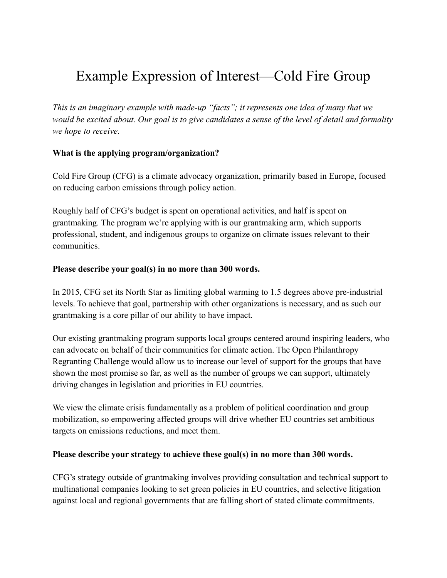# Example Expression of Interest—Cold Fire Group

*This is an imaginary example with made-up "facts"; it represents one idea of many that we would be excited about. Our goal is to give candidates a sense of the level of detail and formality we hope to receive.*

## **What is the applying program/organization?**

Cold Fire Group (CFG) is a climate advocacy organization, primarily based in Europe, focused on reducing carbon emissions through policy action.

Roughly half of CFG's budget is spent on operational activities, and half is spent on grantmaking. The program we're applying with is our grantmaking arm, which supports professional, student, and indigenous groups to organize on climate issues relevant to their communities.

### **Please describe your goal(s) in no more than 300 words.**

In 2015, CFG set its North Star as limiting global warming to 1.5 degrees above pre-industrial levels. To achieve that goal, partnership with other organizations is necessary, and as such our grantmaking is a core pillar of our ability to have impact.

Our existing grantmaking program supports local groups centered around inspiring leaders, who can advocate on behalf of their communities for climate action. The Open Philanthropy Regranting Challenge would allow us to increase our level of support for the groups that have shown the most promise so far, as well as the number of groups we can support, ultimately driving changes in legislation and priorities in EU countries.

We view the climate crisis fundamentally as a problem of political coordination and group mobilization, so empowering affected groups will drive whether EU countries set ambitious targets on emissions reductions, and meet them.

#### **Please describe your strategy to achieve these goal(s) in no more than 300 words.**

CFG's strategy outside of grantmaking involves providing consultation and technical support to multinational companies looking to set green policies in EU countries, and selective litigation against local and regional governments that are falling short of stated climate commitments.